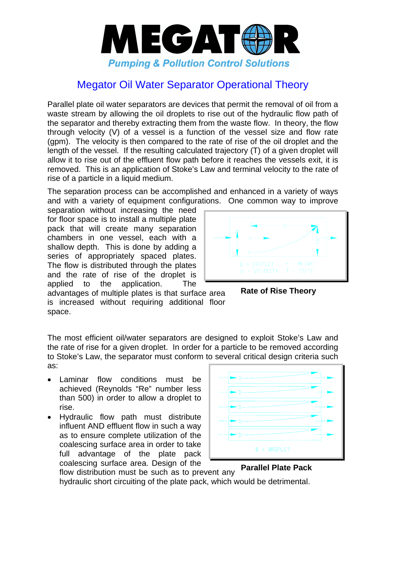

## Megator Oil Water Separator Operational Theory

Parallel plate oil water separators are devices that permit the removal of oil from a waste stream by allowing the oil droplets to rise out of the hydraulic flow path of the separator and thereby extracting them from the waste flow. In theory, the flow through velocity (V) of a vessel is a function of the vessel size and flow rate (gpm). The velocity is then compared to the rate of rise of the oil droplet and the length of the vessel. If the resulting calculated trajectory (T) of a given droplet will allow it to rise out of the effluent flow path before it reaches the vessels exit, it is removed. This is an application of Stoke's Law and terminal velocity to the rate of rise of a particle in a liquid medium.

The separation process can be accomplished and enhanced in a variety of ways and with a variety of equipment configurations. One common way to improve

separation without increasing the need for floor space is to install a multiple plate pack that will create many separation chambers in one vessel, each with a shallow depth. This is done by adding a series of appropriately spaced plates. The flow is distributed through the plates and the rate of rise of the droplet is applied to the application. The



advantages of multiple plates is that surface area is increased without requiring additional floor space.



The most efficient oil/water separators are designed to exploit Stoke's Law and the rate of rise for a given droplet. In order for a particle to be removed according to Stoke's Law, the separator must conform to several critical design criteria such as:

- Laminar flow conditions must be achieved (Reynolds "Re" number less than 500) in order to allow a droplet to rise.
- Hydraulic flow path must distribute influent AND effluent flow in such a way as to ensure complete utilization of the coalescing surface area in order to take full advantage of the plate pack coalescing surface area. Design of the



flow distribution must be such as to prevent any hydraulic short circuiting of the plate pack, which would be detrimental. **Parallel Plate Pack**